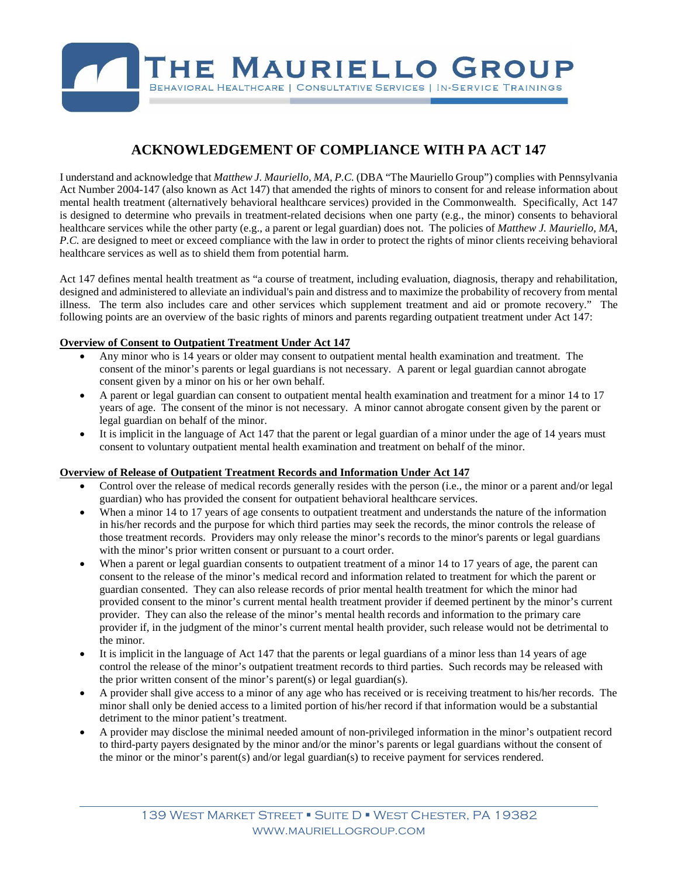

## **ACKNOWLEDGEMENT OF COMPLIANCE WITH PA ACT 147**

I understand and acknowledge that *Matthew J. Mauriello, MA, P.C.* (DBA "The Mauriello Group") complies with Pennsylvania Act Number 2004-147 (also known as Act 147) that amended the rights of minors to consent for and release information about mental health treatment (alternatively behavioral healthcare services) provided in the Commonwealth. Specifically, Act 147 is designed to determine who prevails in treatment-related decisions when one party (e.g., the minor) consents to behavioral healthcare services while the other party (e.g., a parent or legal guardian) does not. The policies of *Matthew J. Mauriello, MA, P.C.* are designed to meet or exceed compliance with the law in order to protect the rights of minor clients receiving behavioral healthcare services as well as to shield them from potential harm.

Act 147 defines mental health treatment as "a course of treatment, including evaluation, diagnosis, therapy and rehabilitation, designed and administered to alleviate an individual's pain and distress and to maximize the probability of recovery from mental illness. The term also includes care and other services which supplement treatment and aid or promote recovery." The following points are an overview of the basic rights of minors and parents regarding outpatient treatment under Act 147:

## **Overview of Consent to Outpatient Treatment Under Act 147**

- Any minor who is 14 years or older may consent to outpatient mental health examination and treatment. The consent of the minor's parents or legal guardians is not necessary. A parent or legal guardian cannot abrogate consent given by a minor on his or her own behalf.
- A parent or legal guardian can consent to outpatient mental health examination and treatment for a minor 14 to 17 years of age. The consent of the minor is not necessary. A minor cannot abrogate consent given by the parent or legal guardian on behalf of the minor.
- It is implicit in the language of Act 147 that the parent or legal guardian of a minor under the age of 14 years must consent to voluntary outpatient mental health examination and treatment on behalf of the minor.

## **Overview of Release of Outpatient Treatment Records and Information Under Act 147**

- Control over the release of medical records generally resides with the person (i.e., the minor or a parent and/or legal guardian) who has provided the consent for outpatient behavioral healthcare services.
- When a minor 14 to 17 years of age consents to outpatient treatment and understands the nature of the information in his/her records and the purpose for which third parties may seek the records, the minor controls the release of those treatment records. Providers may only release the minor's records to the minor's parents or legal guardians with the minor's prior written consent or pursuant to a court order.
- When a parent or legal guardian consents to outpatient treatment of a minor 14 to 17 years of age, the parent can consent to the release of the minor's medical record and information related to treatment for which the parent or guardian consented. They can also release records of prior mental health treatment for which the minor had provided consent to the minor's current mental health treatment provider if deemed pertinent by the minor's current provider. They can also the release of the minor's mental health records and information to the primary care provider if, in the judgment of the minor's current mental health provider, such release would not be detrimental to the minor.
- It is implicit in the language of Act 147 that the parents or legal guardians of a minor less than 14 years of age control the release of the minor's outpatient treatment records to third parties. Such records may be released with the prior written consent of the minor's parent(s) or legal guardian(s).
- A provider shall give access to a minor of any age who has received or is receiving treatment to his/her records. The minor shall only be denied access to a limited portion of his/her record if that information would be a substantial detriment to the minor patient's treatment.
- A provider may disclose the minimal needed amount of non-privileged information in the minor's outpatient record to third-party payers designated by the minor and/or the minor's parents or legal guardians without the consent of the minor or the minor's parent(s) and/or legal guardian(s) to receive payment for services rendered.